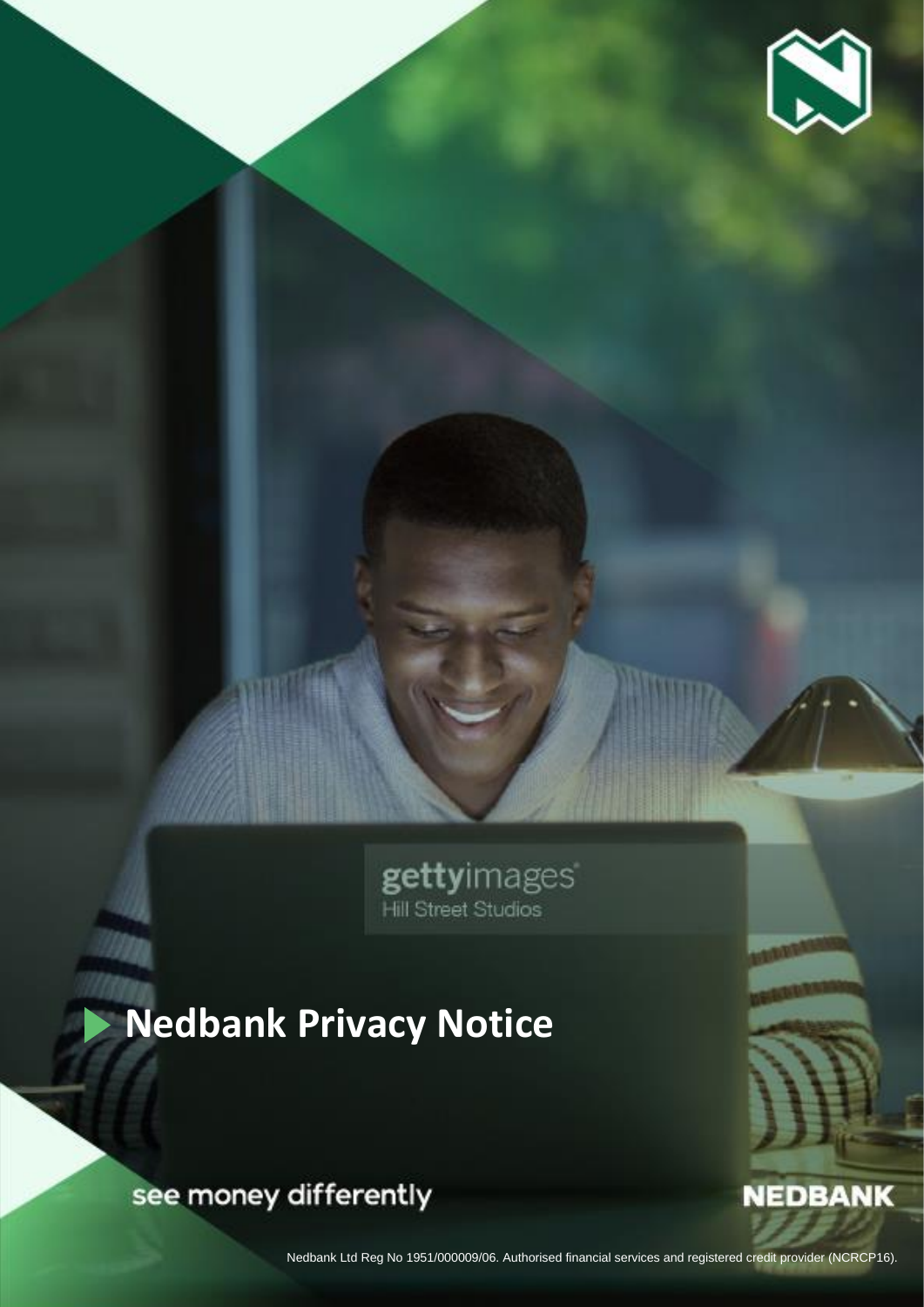

**NEDBANK** 

gettyimages

# **Nedbank Privacy Notice**

see money differently

Nedbank Privacy Notice June 2021 | Nedbank Ltd.

Nedbank Ltd Reg No 1951/000009/06. Authorised financial services and registered credit provider (NCRCP16).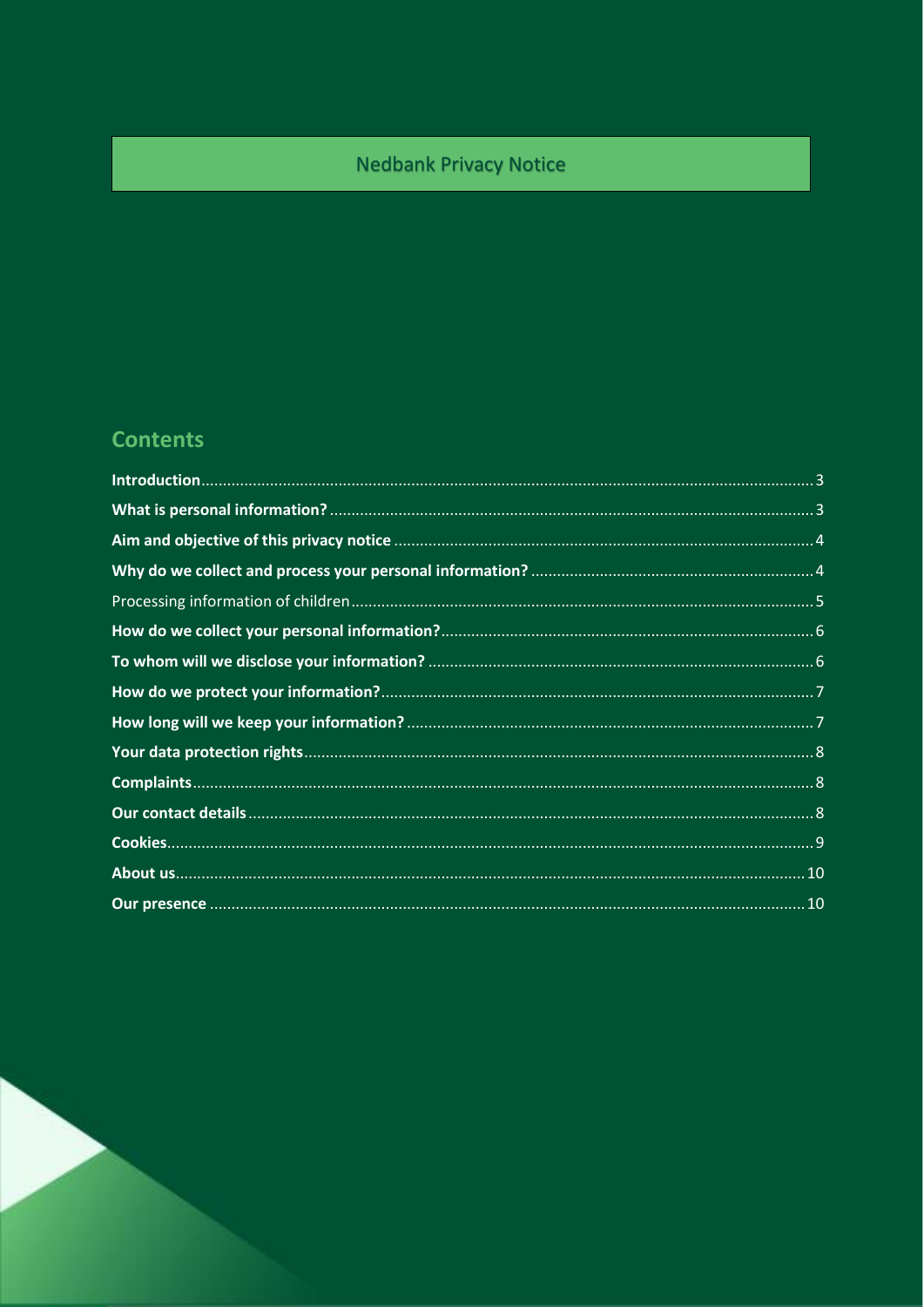# **Nedbank Privacy Notice**

# **Contents**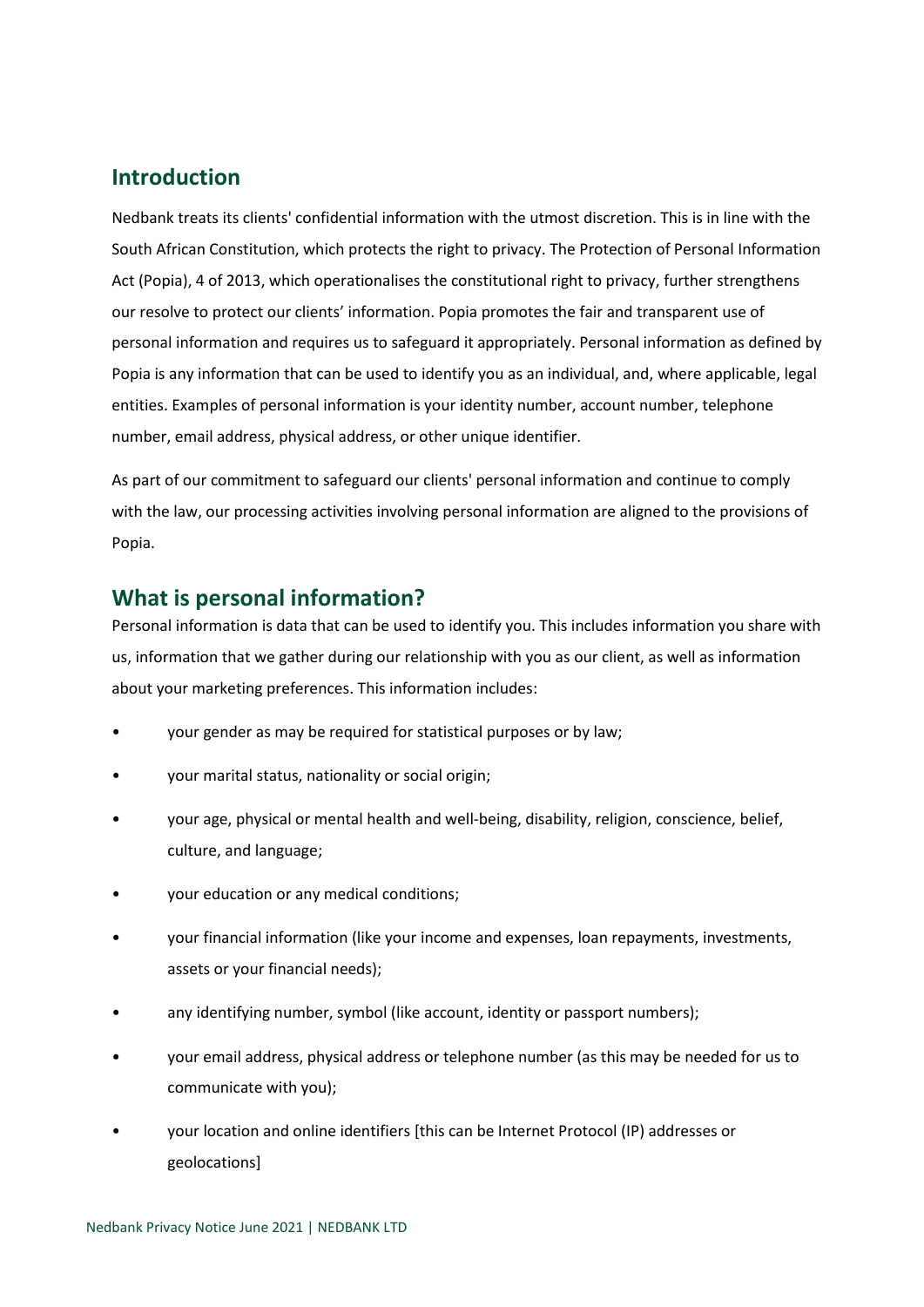## <span id="page-2-0"></span>**Introduction**

Nedbank treats its clients' confidential information with the utmost discretion. This is in line with the South African Constitution, which protects the right to privacy. The Protection of Personal Information Act (Popia), 4 of 2013, which operationalises the constitutional right to privacy, further strengthens our resolve to protect our clients' information. Popia promotes the fair and transparent use of personal information and requires us to safeguard it appropriately. Personal information as defined by Popia is any information that can be used to identify you as an individual, and, where applicable, legal entities. Examples of personal information is your identity number, account number, telephone number, email address, physical address, or other unique identifier.

As part of our commitment to safeguard our clients' personal information and continue to comply with the law, our processing activities involving personal information are aligned to the provisions of Popia.

## <span id="page-2-1"></span>**What is personal information?**

Personal information is data that can be used to identify you. This includes information you share with us, information that we gather during our relationship with you as our client, as well as information about your marketing preferences. This information includes:

- your gender as may be required for statistical purposes or by law;
- your marital status, nationality or social origin;
- your age, physical or mental health and well-being, disability, religion, conscience, belief, culture, and language;
- your education or any medical conditions;
- your financial information (like your income and expenses, loan repayments, investments, assets or your financial needs);
- any identifying number, symbol (like account, identity or passport numbers);
- your email address, physical address or telephone number (as this may be needed for us to communicate with you);
- your location and online identifiers [this can be Internet Protocol (IP) addresses or geolocations]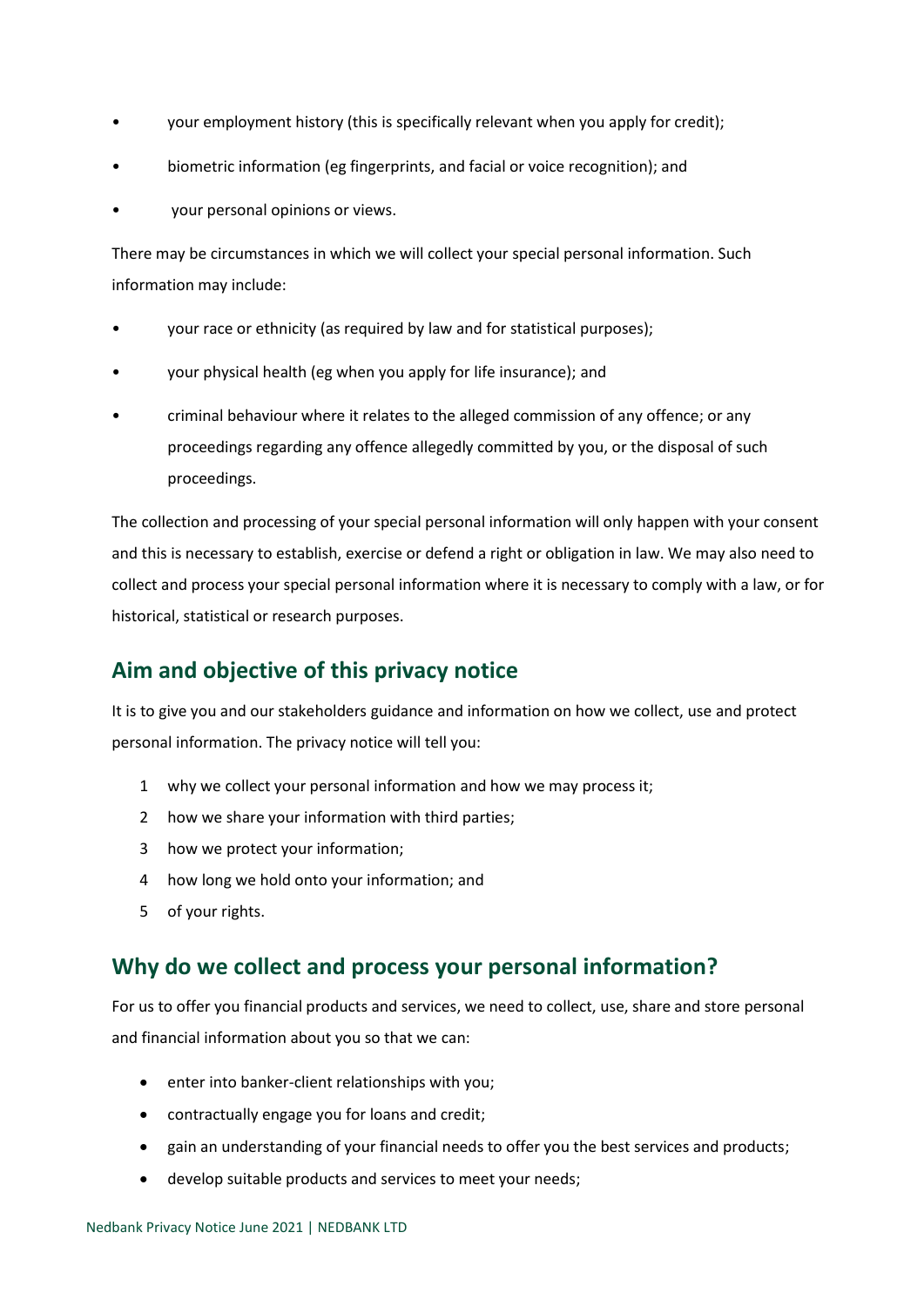- your employment history (this is specifically relevant when you apply for credit);
- biometric information (eg fingerprints, and facial or voice recognition); and
- your personal opinions or views.

There may be circumstances in which we will collect your special personal information. Such information may include:

- your race or ethnicity (as required by law and for statistical purposes);
- your physical health (eg when you apply for life insurance); and
- criminal behaviour where it relates to the alleged commission of any offence; or any proceedings regarding any offence allegedly committed by you, or the disposal of such proceedings.

The collection and processing of your special personal information will only happen with your consent and this is necessary to establish, exercise or defend a right or obligation in law. We may also need to collect and process your special personal information where it is necessary to comply with a law, or for historical, statistical or research purposes.

## <span id="page-3-0"></span>**Aim and objective of this privacy notice**

It is to give you and our stakeholders guidance and information on how we collect, use and protect personal information. The privacy notice will tell you:

- 1 why we collect your personal information and how we may process it;
- 2 how we share your information with third parties;
- 3 how we protect your information;
- 4 how long we hold onto your information; and
- 5 of your rights.

### <span id="page-3-1"></span>**Why do we collect and process your personal information?**

For us to offer you financial products and services, we need to collect, use, share and store personal and financial information about you so that we can:

- enter into banker-client relationships with you;
- contractually engage you for loans and credit;
- gain an understanding of your financial needs to offer you the best services and products;
- develop suitable products and services to meet your needs;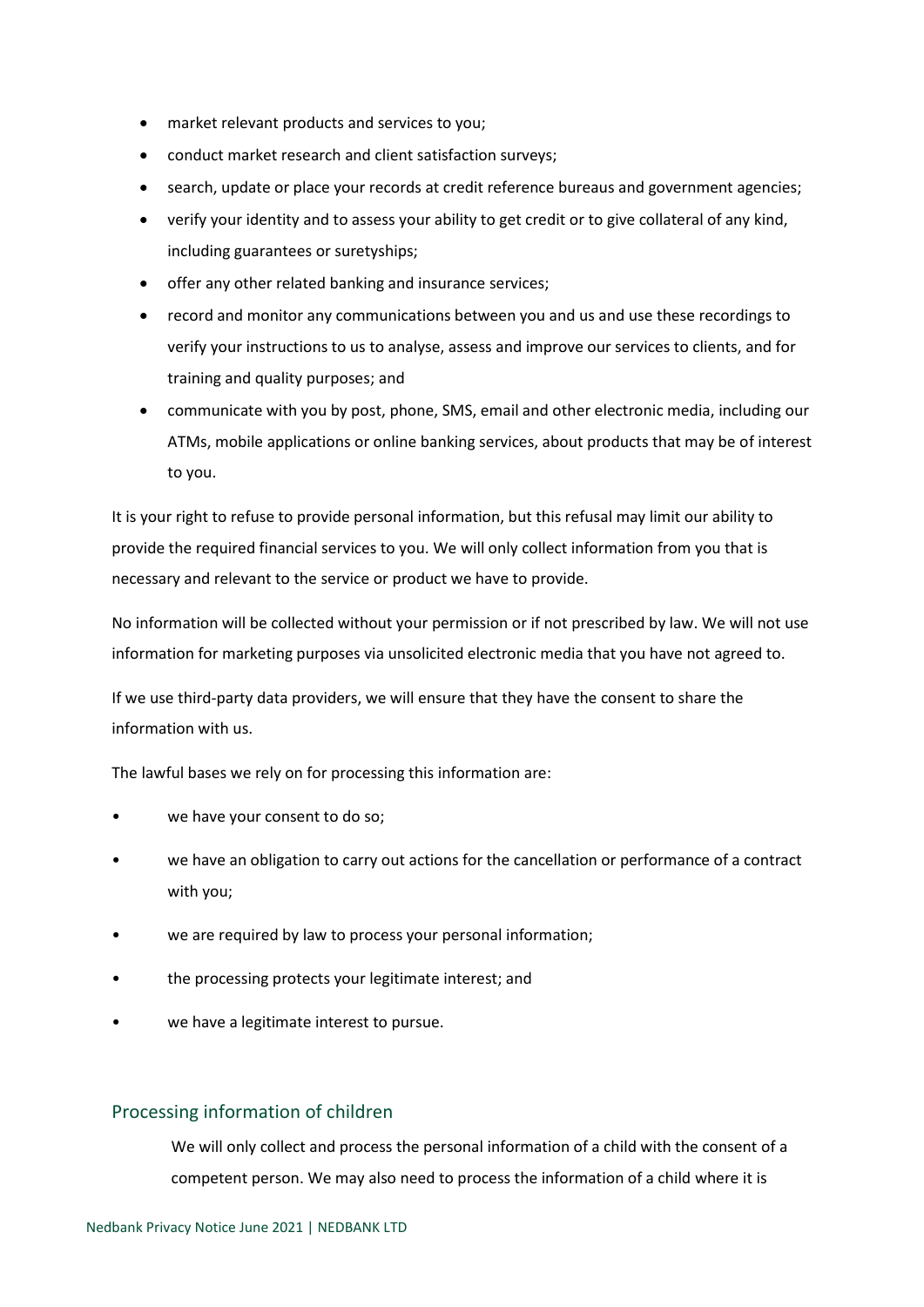- market relevant products and services to you;
- conduct market research and client satisfaction surveys;
- search, update or place your records at credit reference bureaus and government agencies;
- verify your identity and to assess your ability to get credit or to give collateral of any kind, including guarantees or suretyships;
- offer any other related banking and insurance services;
- record and monitor any communications between you and us and use these recordings to verify your instructions to us to analyse, assess and improve our services to clients, and for training and quality purposes; and
- communicate with you by post, phone, SMS, email and other electronic media, including our ATMs, mobile applications or online banking services, about products that may be of interest to you.

It is your right to refuse to provide personal information, but this refusal may limit our ability to provide the required financial services to you. We will only collect information from you that is necessary and relevant to the service or product we have to provide.

No information will be collected without your permission or if not prescribed by law. We will not use information for marketing purposes via unsolicited electronic media that you have not agreed to.

If we use third-party data providers, we will ensure that they have the consent to share the information with us.

The lawful bases we rely on for processing this information are:

- we have your consent to do so;
- we have an obligation to carry out actions for the cancellation or performance of a contract with you;
- we are required by law to process your personal information;
- the processing protects your legitimate interest; and
- we have a legitimate interest to pursue.

#### <span id="page-4-0"></span>Processing information of children

We will only collect and process the personal information of a child with the consent of a competent person. We may also need to process the information of a child where it is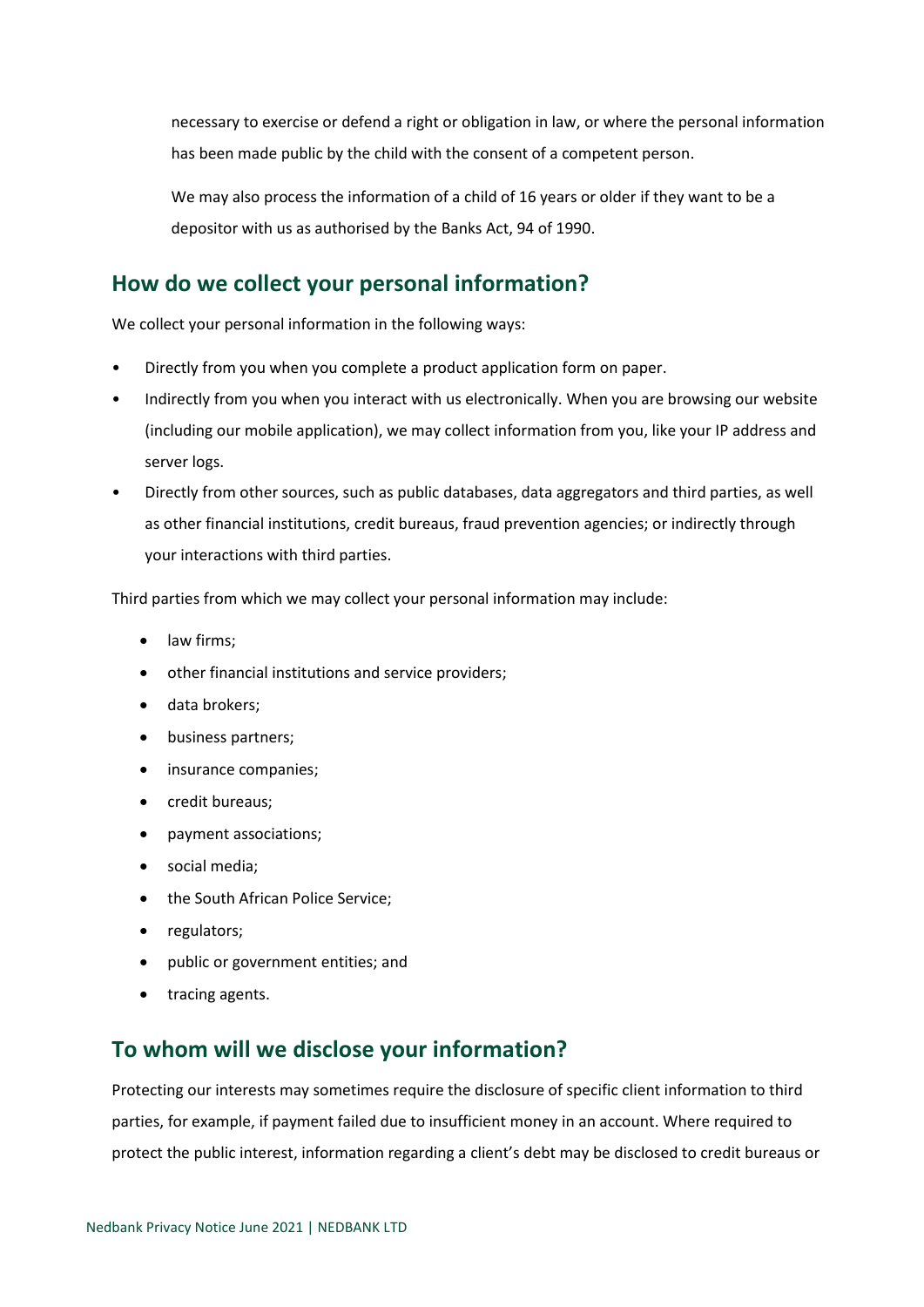necessary to exercise or defend a right or obligation in law, or where the personal information has been made public by the child with the consent of a competent person.

We may also process the information of a child of 16 years or older if they want to be a depositor with us as authorised by the Banks Act, 94 of 1990.

## <span id="page-5-0"></span>**How do we collect your personal information?**

We collect your personal information in the following ways:

- Directly from you when you complete a product application form on paper.
- Indirectly from you when you interact with us electronically. When you are browsing our website (including our mobile application), we may collect information from you, like your IP address and server logs.
- Directly from other sources, such as public databases, data aggregators and third parties, as well as other financial institutions, credit bureaus, fraud prevention agencies; or indirectly through your interactions with third parties.

Third parties from which we may collect your personal information may include:

- law firms;
- other financial institutions and service providers;
- data brokers;
- business partners;
- insurance companies;
- credit bureaus;
- payment associations;
- social media;
- the South African Police Service:
- regulators;
- public or government entities; and
- tracing agents.

## <span id="page-5-1"></span>**To whom will we disclose your information?**

Protecting our interests may sometimes require the disclosure of specific client information to third parties, for example, if payment failed due to insufficient money in an account. Where required to protect the public interest, information regarding a client's debt may be disclosed to credit bureaus or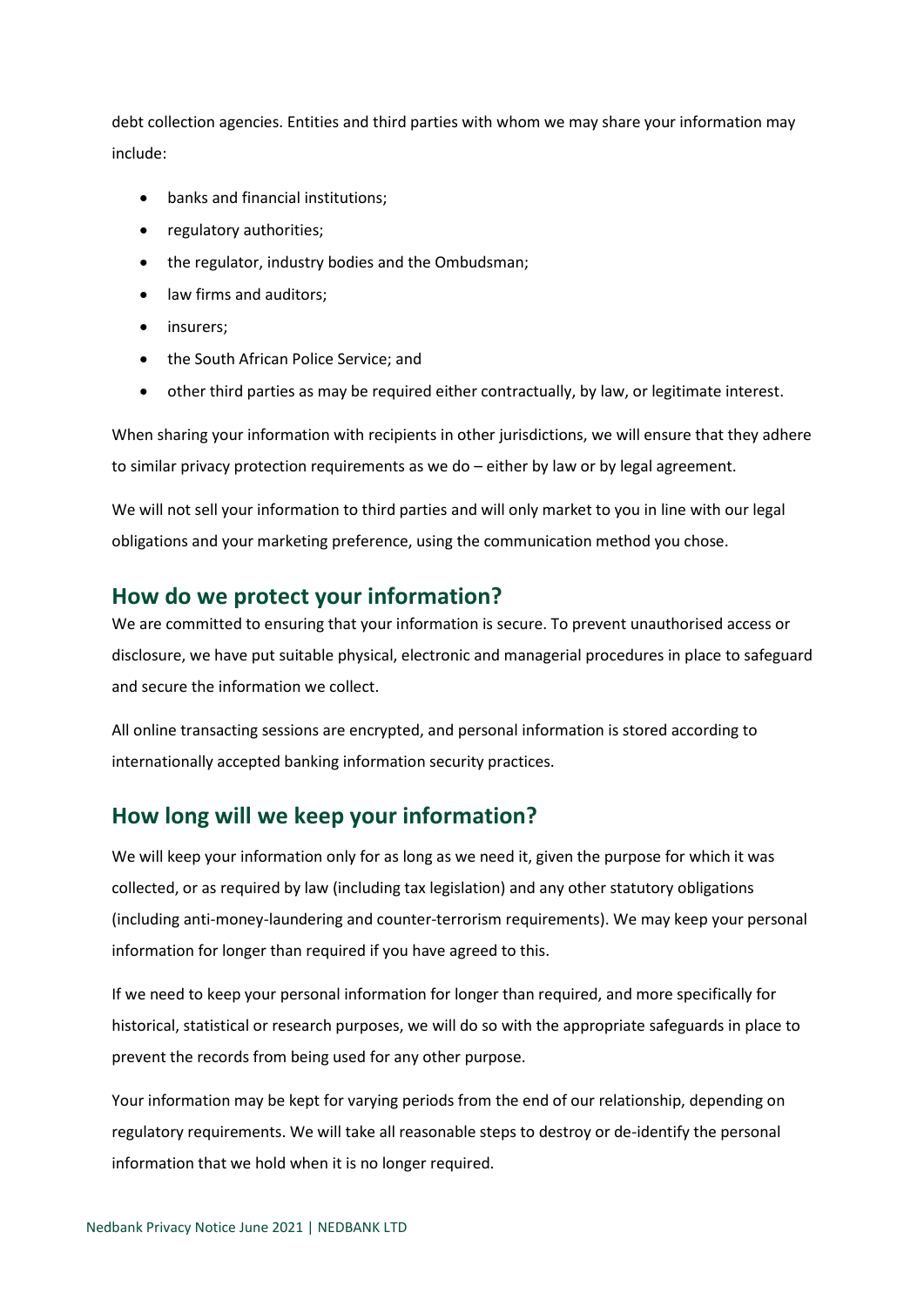debt collection agencies. Entities and third parties with whom we may share your information may include:

- banks and financial institutions;
- regulatory authorities;
- the regulator, industry bodies and the Ombudsman;
- law firms and auditors;
- insurers;
- the South African Police Service; and
- other third parties as may be required either contractually, by law, or legitimate interest.

When sharing your information with recipients in other jurisdictions, we will ensure that they adhere to similar privacy protection requirements as we do – either by law or by legal agreement.

We will not sell your information to third parties and will only market to you in line with our legal obligations and your marketing preference, using the communication method you chose.

#### <span id="page-6-0"></span>**How do we protect your information?**

We are committed to ensuring that your information is secure. To prevent unauthorised access or disclosure, we have put suitable physical, electronic and managerial procedures in place to safeguard and secure the information we collect.

All online transacting sessions are encrypted, and personal information is stored according to internationally accepted banking information security practices.

## <span id="page-6-1"></span>**How long will we keep your information?**

We will keep your information only for as long as we need it, given the purpose for which it was collected, or as required by law (including tax legislation) and any other statutory obligations (including anti-money-laundering and counter-terrorism requirements). We may keep your personal information for longer than required if you have agreed to this.

If we need to keep your personal information for longer than required, and more specifically for historical, statistical or research purposes, we will do so with the appropriate safeguards in place to prevent the records from being used for any other purpose.

Your information may be kept for varying periods from the end of our relationship, depending on regulatory requirements. We will take all reasonable steps to destroy or de-identify the personal information that we hold when it is no longer required.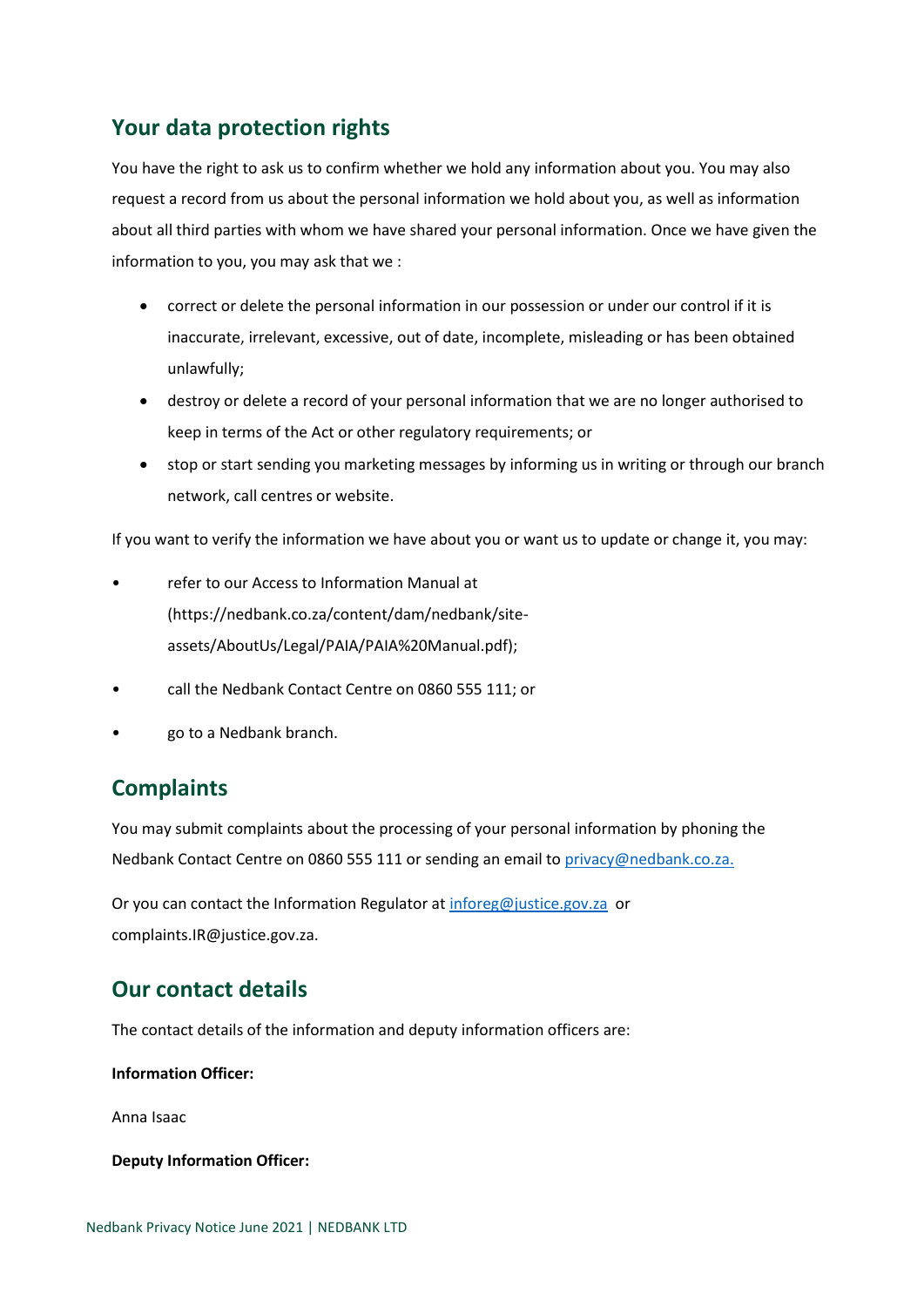## <span id="page-7-0"></span>**Your data protection rights**

You have the right to ask us to confirm whether we hold any information about you. You may also request a record from us about the personal information we hold about you, as well as information about all third parties with whom we have shared your personal information. Once we have given the information to you, you may ask that we :

- correct or delete the personal information in our possession or under our control if it is inaccurate, irrelevant, excessive, out of date, incomplete, misleading or has been obtained unlawfully;
- destroy or delete a record of your personal information that we are no longer authorised to keep in terms of the Act or other regulatory requirements; or
- stop or start sending you marketing messages by informing us in writing or through our branch network, call centres or website.

If you want to verify the information we have about you or want us to update or change it, you may:

- refer to our Access to Information Manual at (https://nedbank.co.za/content/dam/nedbank/siteassets/AboutUs/Legal/PAIA/PAIA%20Manual.pdf);
- call the Nedbank Contact Centre on 0860 555 111; or
- go to a Nedbank branch.

## <span id="page-7-1"></span>**Complaints**

You may submit complaints about the processing of your personal information by phoning the Nedbank Contact Centre on 0860 555 111 or sending an email to [privacy@nedbank.co.za.](mailto:privacy@nedbank.co.za)

Or you can contact the Information Regulator a[t inforeg@justice.gov.za](mailto:inforeg@justice.gov.za) or complaints.IR@justice.gov.za.

## <span id="page-7-2"></span>**Our contact details**

The contact details of the information and deputy information officers are:

**Information Officer:**

Anna Isaac

#### **Deputy Information Officer:**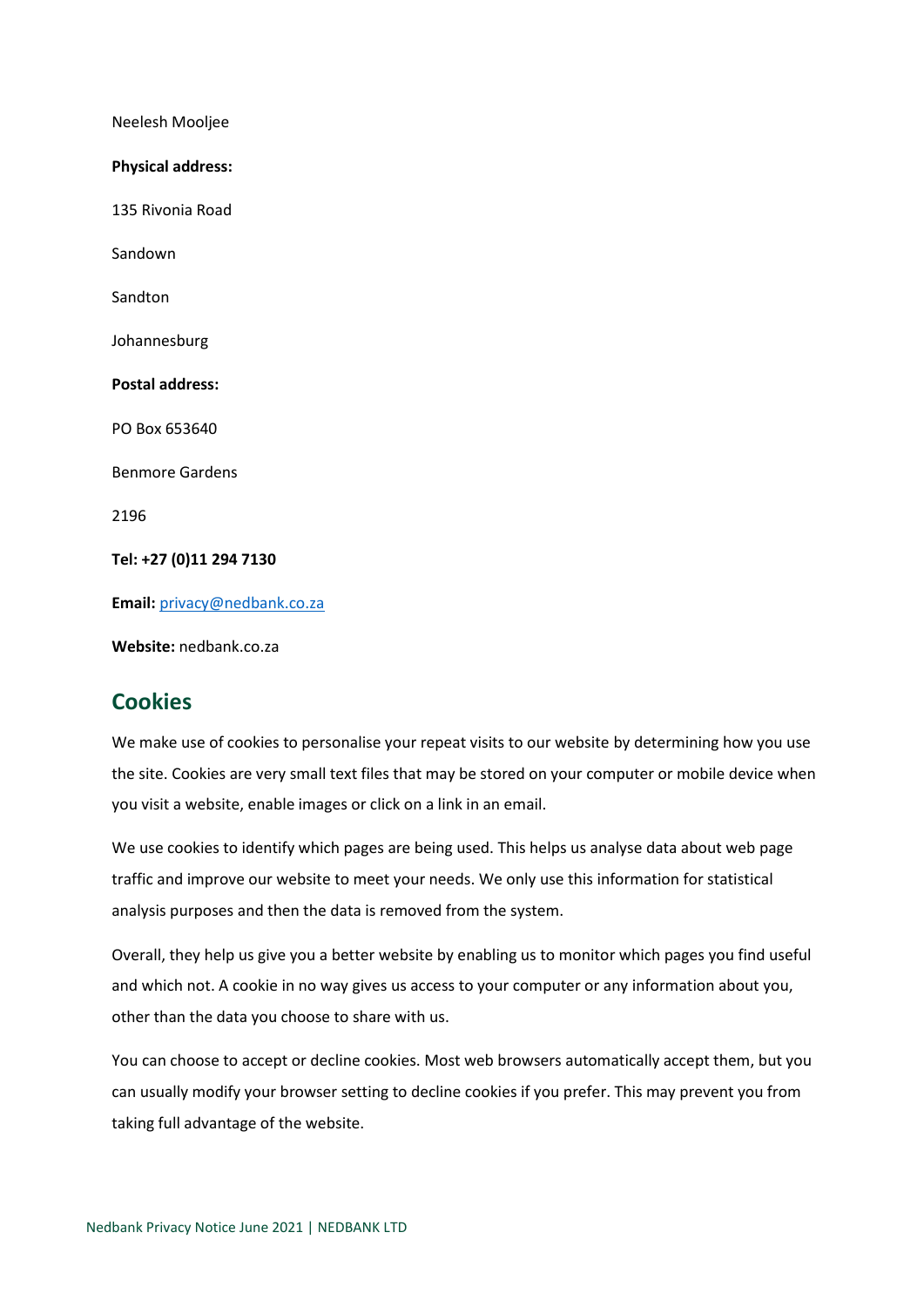Neelesh Mooljee **Physical address:**  135 Rivonia Road Sandown Sandton Johannesburg **Postal address:**  PO Box 653640 Benmore Gardens 2196 **Tel: +27 (0)11 294 7130 Email:** [privacy@nedbank.co.za](mailto:privacy@nedbank.co.za)

**Website:** nedbank.co.za

## <span id="page-8-0"></span>**Cookies**

We make use of cookies to personalise your repeat visits to our website by determining how you use the site. Cookies are very small text files that may be stored on your computer or mobile device when you visit a website, enable images or click on a link in an email.

We use cookies to identify which pages are being used. This helps us analyse data about web page traffic and improve our website to meet your needs. We only use this information for statistical analysis purposes and then the data is removed from the system.

Overall, they help us give you a better website by enabling us to monitor which pages you find useful and which not. A cookie in no way gives us access to your computer or any information about you, other than the data you choose to share with us.

You can choose to accept or decline cookies. Most web browsers automatically accept them, but you can usually modify your browser setting to decline cookies if you prefer. This may prevent you from taking full advantage of the website.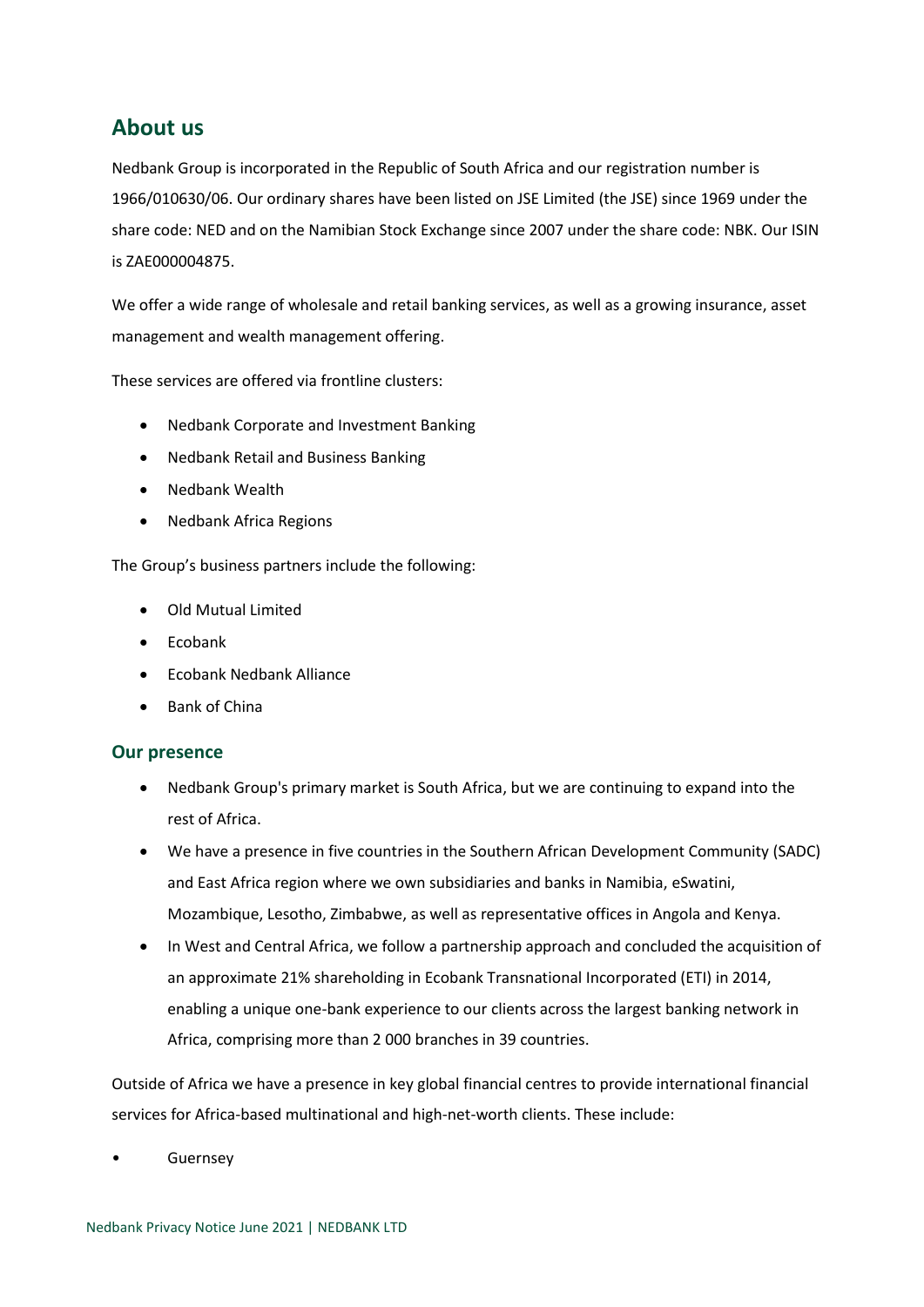## <span id="page-9-0"></span>**About us**

Nedbank Group is incorporated in the Republic of South Africa and our registration number is 1966/010630/06. Our ordinary shares have been listed on JSE Limited (the JSE) since 1969 under the share code: NED and on the Namibian Stock Exchange since 2007 under the share code: NBK. Our ISIN is ZAE000004875.

We offer a wide range of wholesale and retail banking services, as well as a growing insurance, asset management and wealth management offering.

These services are offered via frontline clusters:

- Nedbank Corporate and Investment Banking
- Nedbank Retail and Business Banking
- Nedbank Wealth
- Nedbank Africa Regions

The Group's business partners include the following:

- Old Mutual Limited
- Ecobank
- Ecobank Nedbank Alliance
- Bank of China

#### <span id="page-9-1"></span>**Our presence**

- Nedbank Group's primary market is South Africa, but we are continuing to expand into the rest of Africa.
- We have a presence in five countries in the Southern African Development Community (SADC) and East Africa region where we own subsidiaries and banks in Namibia, eSwatini, Mozambique, Lesotho, Zimbabwe, as well as representative offices in Angola and Kenya.
- In West and Central Africa, we follow a partnership approach and concluded the acquisition of an approximate 21% shareholding in Ecobank Transnational Incorporated (ETI) in 2014, enabling a unique one-bank experience to our clients across the largest banking network in Africa, comprising more than 2 000 branches in 39 countries.

Outside of Africa we have a presence in key global financial centres to provide international financial services for Africa-based multinational and high-net-worth clients. These include:

**Guernsey**